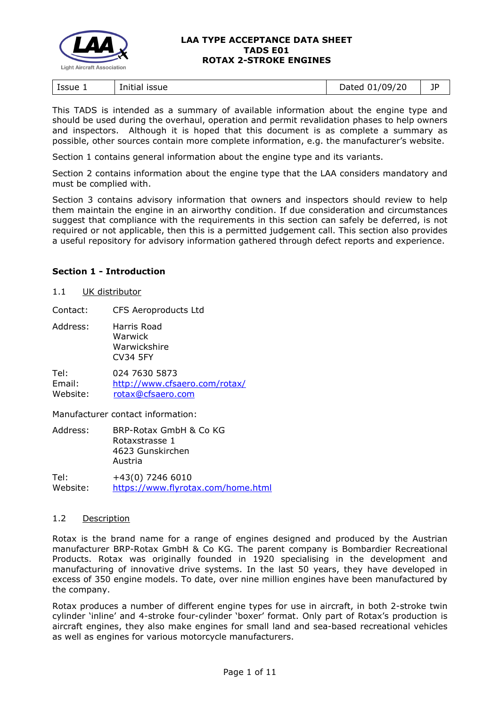

| .<br>Initial issue<br>Issue 1 | !/09/20<br>Dated | 1P<br>JI |
|-------------------------------|------------------|----------|
|-------------------------------|------------------|----------|

This TADS is intended as a summary of available information about the engine type and should be used during the overhaul, operation and permit revalidation phases to help owners and inspectors. Although it is hoped that this document is as complete a summary as possible, other sources contain more complete information, e.g. the manufacturer's website.

Section 1 contains general information about the engine type and its variants.

Section 2 contains information about the engine type that the LAA considers mandatory and must be complied with.

Section 3 contains advisory information that owners and inspectors should review to help them maintain the engine in an airworthy condition. If due consideration and circumstances suggest that compliance with the requirements in this section can safely be deferred, is not required or not applicable, then this is a permitted judgement call. This section also provides a useful repository for advisory information gathered through defect reports and experience.

## **Section 1 - Introduction**

#### 1.1 UK distributor

Contact: CFS Aeroproducts Ltd

Address: Harris Road Warwick Warwickshire CV34 5FY

Tel: 024 7630 5873 Email: <http://www.cfsaero.com/rotax/> Website: [rotax@cfsaero.com](mailto:rotax@cfsaero.com)

Manufacturer contact information:

| Address: | BRP-Rotax GmbH & Co KG |  |
|----------|------------------------|--|
|          | Rotaxstrasse 1         |  |
|          | 4623 Gunskirchen       |  |
|          | Austria                |  |
| — I      | . 17(0) 77.0 70.0      |  |

Tel: +43(0) 7246 6010 Website: <https://www.flyrotax.com/home.html>

## 1.2 Description

Rotax is the brand name for a range of engines designed and produced by the Austrian manufacturer BRP-Rotax GmbH & Co KG. The parent company is Bombardier Recreational Products. Rotax was originally founded in 1920 specialising in the development and manufacturing of innovative drive systems. In the last 50 years, they have developed in excess of 350 engine models. To date, over nine million engines have been manufactured by the company.

Rotax produces a number of different engine types for use in aircraft, in both 2-stroke twin cylinder 'inline' and 4-stroke four-cylinder 'boxer' format. Only part of Rotax's production is aircraft engines, they also make engines for small land and sea-based recreational vehicles as well as engines for various motorcycle manufacturers.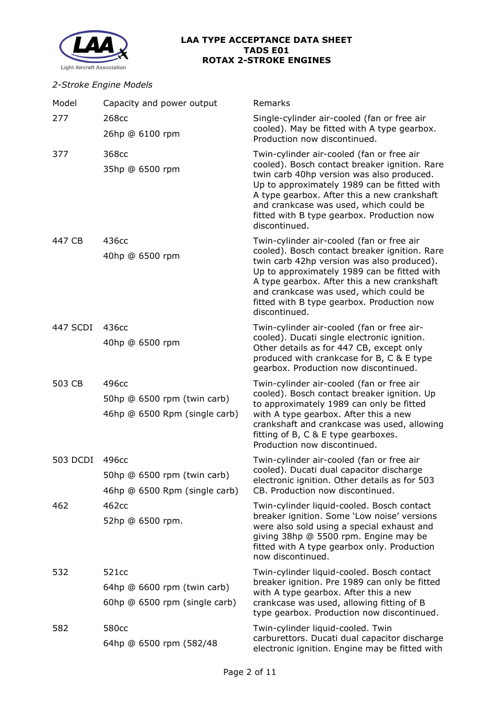

## *2-Stroke Engine Models*

| Model           | Capacity and power output                                             | Remarks                                                                                                                                                                                                                                                                                                                                         |
|-----------------|-----------------------------------------------------------------------|-------------------------------------------------------------------------------------------------------------------------------------------------------------------------------------------------------------------------------------------------------------------------------------------------------------------------------------------------|
| 277             | 268 <sub>cc</sub><br>26hp @ 6100 rpm                                  | Single-cylinder air-cooled (fan or free air<br>cooled). May be fitted with A type gearbox.<br>Production now discontinued.                                                                                                                                                                                                                      |
| 377             | 368cc<br>35hp @ 6500 rpm                                              | Twin-cylinder air-cooled (fan or free air<br>cooled). Bosch contact breaker ignition. Rare<br>twin carb 40hp version was also produced.<br>Up to approximately 1989 can be fitted with<br>A type gearbox. After this a new crankshaft<br>and crankcase was used, which could be<br>fitted with B type gearbox. Production now<br>discontinued.  |
| 447 CB          | 436cc<br>40hp @ 6500 rpm                                              | Twin-cylinder air-cooled (fan or free air<br>cooled). Bosch contact breaker ignition. Rare<br>twin carb 42hp version was also produced).<br>Up to approximately 1989 can be fitted with<br>A type gearbox. After this a new crankshaft<br>and crankcase was used, which could be<br>fitted with B type gearbox. Production now<br>discontinued. |
| 447 SCDI        | 436cc<br>40hp @ 6500 rpm                                              | Twin-cylinder air-cooled (fan or free air-<br>cooled). Ducati single electronic ignition.<br>Other details as for 447 CB, except only<br>produced with crankcase for B, C & E type<br>gearbox. Production now discontinued.                                                                                                                     |
| 503 CB          | 496cc<br>50hp @ 6500 rpm (twin carb)<br>46hp @ 6500 Rpm (single carb) | Twin-cylinder air-cooled (fan or free air<br>cooled). Bosch contact breaker ignition. Up<br>to approximately 1989 can only be fitted<br>with A type gearbox. After this a new<br>crankshaft and crankcase was used, allowing<br>fitting of B, C & E type gearboxes.<br>Production now discontinued.                                             |
| <b>503 DCDI</b> | 496cc<br>50hp @ 6500 rpm (twin carb)<br>46hp @ 6500 Rpm (single carb) | Twin-cylinder air-cooled (fan or free air<br>cooled). Ducati dual capacitor discharge<br>electronic ignition. Other details as for 503<br>CB. Production now discontinued.                                                                                                                                                                      |
| 462             | 462cc<br>52hp @ 6500 rpm.                                             | Twin-cylinder liquid-cooled. Bosch contact<br>breaker ignition. Some 'Low noise' versions<br>were also sold using a special exhaust and<br>giving 38hp @ 5500 rpm. Engine may be<br>fitted with A type gearbox only. Production<br>now discontinued.                                                                                            |
| 532             | 521cc<br>64hp @ 6600 rpm (twin carb)<br>60hp @ 6500 rpm (single carb) | Twin-cylinder liquid-cooled. Bosch contact<br>breaker ignition. Pre 1989 can only be fitted<br>with A type gearbox. After this a new<br>crankcase was used, allowing fitting of B<br>type gearbox. Production now discontinued.                                                                                                                 |
| 582             | 580cc<br>64hp @ 6500 rpm (582/48)                                     | Twin-cylinder liquid-cooled. Twin<br>carburettors. Ducati dual capacitor discharge<br>electronic ignition. Engine may be fitted with                                                                                                                                                                                                            |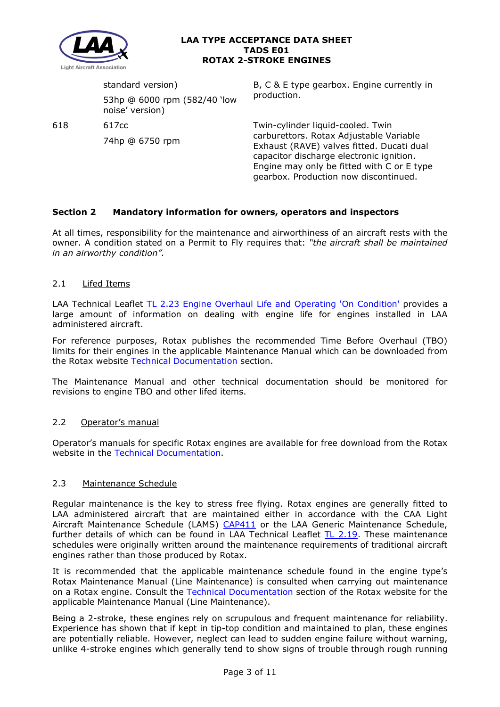

standard version) 53hp @ 6000 rpm (582/40 'low noise' version)

618 617cc

74hp @ 6750 rpm

B, C & E type gearbox. Engine currently in production.

Twin-cylinder liquid-cooled. Twin carburettors. Rotax Adjustable Variable Exhaust (RAVE) valves fitted. Ducati dual capacitor discharge electronic ignition. Engine may only be fitted with C or E type gearbox. Production now discontinued.

# **Section 2 Mandatory information for owners, operators and inspectors**

At all times, responsibility for the maintenance and airworthiness of an aircraft rests with the owner. A condition stated on a Permit to Fly requires that: *"the aircraft shall be maintained in an airworthy condition".* 

## 2.1 Lifed Items

LAA Technical Leaflet [TL 2.23 Engine Overhaul Life and Operating 'On Condition'](http://www.lightaircraftassociation.co.uk/engineering/TechnicalLeaflets/Operating%20An%20Aircraft/TL%202%2023%20Engine%20overhaul%20life%20and%20operating%20on-condition.pdf) provides a large amount of information on dealing with engine life for engines installed in LAA administered aircraft.

For reference purposes, Rotax publishes the recommended Time Before Overhaul (TBO) limits for their engines in the applicable Maintenance Manual which can be downloaded from the Rotax website [Technical Documentation](https://www.flyrotax.com/services/technical-documentation.html) section.

The Maintenance Manual and other technical documentation should be monitored for revisions to engine TBO and other lifed items.

## 2.2 Operator's manual

Operator's manuals for specific Rotax engines are available for free download from the Rotax website in the [Technical Documentation.](https://www.flyrotax.com/services/technical-documentation.html)

## 2.3 Maintenance Schedule

Regular maintenance is the key to stress free flying. Rotax engines are generally fitted to LAA administered aircraft that are maintained either in accordance with the CAA Light Aircraft Maintenance Schedule (LAMS) [CAP411](http://www.caa.co.uk/CAP411) or the LAA Generic Maintenance Schedule, further details of which can be found in LAA Technical Leaflet [TL 2.19.](http://www.lightaircraftassociation.co.uk/engineering/TechnicalLeaflets/Operating%20An%20Aircraft/TL%202.19%20The%20LAA%20Generic%20Maintenance%20Schedule.pdf) These maintenance schedules were originally written around the maintenance requirements of traditional aircraft engines rather than those produced by Rotax.

It is recommended that the applicable maintenance schedule found in the engine type's Rotax Maintenance Manual (Line Maintenance) is consulted when carrying out maintenance on a Rotax engine. Consult the [Technical Documentation](https://www.flyrotax.com/services/technical-documentation.html) section of the Rotax website for the applicable Maintenance Manual (Line Maintenance).

Being a 2-stroke, these engines rely on scrupulous and frequent maintenance for reliability. Experience has shown that if kept in tip-top condition and maintained to plan, these engines are potentially reliable. However, neglect can lead to sudden engine failure without warning, unlike 4-stroke engines which generally tend to show signs of trouble through rough running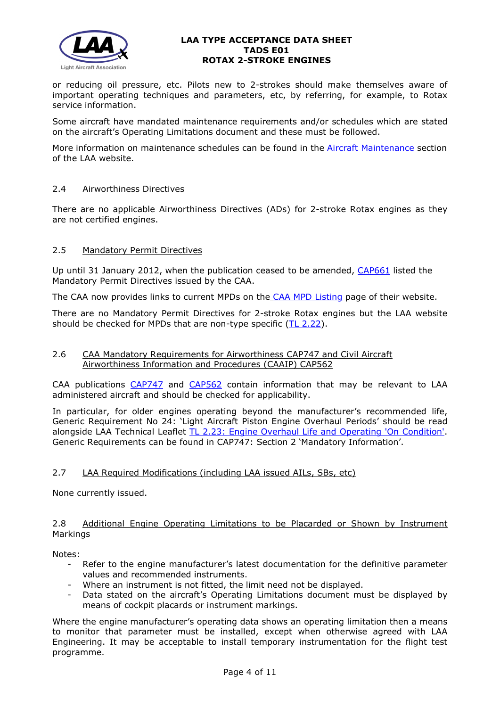

or reducing oil pressure, etc. Pilots new to 2-strokes should make themselves aware of important operating techniques and parameters, etc, by referring, for example, to Rotax service information.

Some aircraft have mandated maintenance requirements and/or schedules which are stated on the aircraft's Operating Limitations document and these must be followed.

More information on maintenance schedules can be found in the [Aircraft Maintenance](http://www.lightaircraftassociation.co.uk/engineering/Maintenance/Aircraft_Maintenance.html) section of the LAA website.

## 2.4 Airworthiness Directives

There are no applicable Airworthiness Directives (ADs) for 2-stroke Rotax engines as they are not certified engines.

## 2.5 Mandatory Permit Directives

Up until 31 January 2012, when the publication ceased to be amended, [CAP661](https://publicapps.caa.co.uk/docs/33/CAP661.PDF) listed the Mandatory Permit Directives issued by the CAA.

The CAA now provides links to current MPDs on the [CAA MPD Listing](http://publicapps.caa.co.uk/modalapplication.aspx?appid=11&mode=list&type=sercat&id=55) page of their website.

There are no Mandatory Permit Directives for 2-stroke Rotax engines but the LAA website should be checked for MPDs that are non-type specific  $(TL 2.22)$ .

## 2.6 CAA Mandatory Requirements for Airworthiness CAP747 and Civil Aircraft Airworthiness Information and Procedures (CAAIP) CAP562

CAA publications [CAP747](http://www.caa.co.uk/CAP747) and [CAP562](http://www.caa.co.uk/CAP562) contain information that may be relevant to LAA administered aircraft and should be checked for applicability.

In particular, for older engines operating beyond the manufacturer's recommended life, Generic Requirement No 24: 'Light Aircraft Piston Engine Overhaul Periods' should be read alongside LAA Technical Leaflet [TL 2.23: Engine Overhaul Life and Operating 'On Condition'.](http://www.lightaircraftassociation.co.uk/engineering/TechnicalLeaflets/Operating%20An%20Aircraft/TL%202%2023%20Engine%20overhaul%20life%20and%20operating%20on-condition.pdf) Generic Requirements can be found in CAP747: Section 2 'Mandatory Information'.

## 2.7 LAA Required Modifications (including LAA issued AILs, SBs, etc)

None currently issued.

## 2.8 Additional Engine Operating Limitations to be Placarded or Shown by Instrument Markings

Notes:

- Refer to the engine manufacturer's latest documentation for the definitive parameter values and recommended instruments.
- Where an instrument is not fitted, the limit need not be displayed.
- Data stated on the aircraft's Operating Limitations document must be displayed by means of cockpit placards or instrument markings.

Where the engine manufacturer's operating data shows an operating limitation then a means to monitor that parameter must be installed, except when otherwise agreed with LAA Engineering. It may be acceptable to install temporary instrumentation for the flight test programme.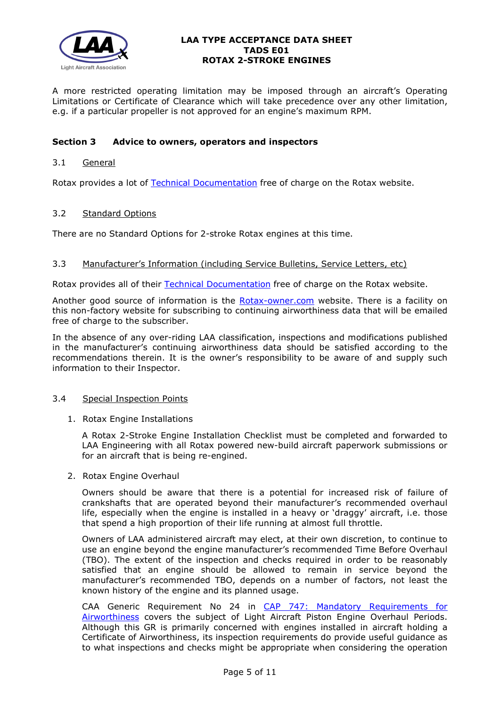

A more restricted operating limitation may be imposed through an aircraft's Operating Limitations or Certificate of Clearance which will take precedence over any other limitation, e.g. if a particular propeller is not approved for an engine's maximum RPM.

## **Section 3 Advice to owners, operators and inspectors**

## 3.1 General

Rotax provides a lot of [Technical Documentation](https://www.flyrotax.com/services/technical-documentation.html) free of charge on the Rotax website.

### 3.2 Standard Options

There are no Standard Options for 2-stroke Rotax engines at this time.

### 3.3 Manufacturer's Information (including Service Bulletins, Service Letters, etc)

Rotax provides all of their [Technical Documentation](https://www.flyrotax.com/services/technical-documentation.html) free of charge on the Rotax website.

Another good source of information is the [Rotax-owner.com](https://www.rotax-owner.com/en/) website. There is a facility on this non-factory website for subscribing to continuing airworthiness data that will be emailed free of charge to the subscriber.

In the absence of any over-riding LAA classification, inspections and modifications published in the manufacturer's continuing airworthiness data should be satisfied according to the recommendations therein. It is the owner's responsibility to be aware of and supply such information to their Inspector.

## 3.4 Special Inspection Points

1. Rotax Engine Installations

A Rotax 2-Stroke Engine Installation Checklist must be completed and forwarded to LAA Engineering with all Rotax powered new-build aircraft paperwork submissions or for an aircraft that is being re-engined.

2. Rotax Engine Overhaul

Owners should be aware that there is a potential for increased risk of failure of crankshafts that are operated beyond their manufacturer's recommended overhaul life, especially when the engine is installed in a heavy or 'draggy' aircraft, i.e. those that spend a high proportion of their life running at almost full throttle.

Owners of LAA administered aircraft may elect, at their own discretion, to continue to use an engine beyond the engine manufacturer's recommended Time Before Overhaul (TBO). The extent of the inspection and checks required in order to be reasonably satisfied that an engine should be allowed to remain in service beyond the manufacturer's recommended TBO, depends on a number of factors, not least the known history of the engine and its planned usage.

CAA Generic Requirement No 24 in [CAP 747: Mandatory Requirements for](https://caa.co.uk/cap747)  [Airworthiness](https://caa.co.uk/cap747) covers the subject of Light Aircraft Piston Engine Overhaul Periods. Although this GR is primarily concerned with engines installed in aircraft holding a Certificate of Airworthiness, its inspection requirements do provide useful guidance as to what inspections and checks might be appropriate when considering the operation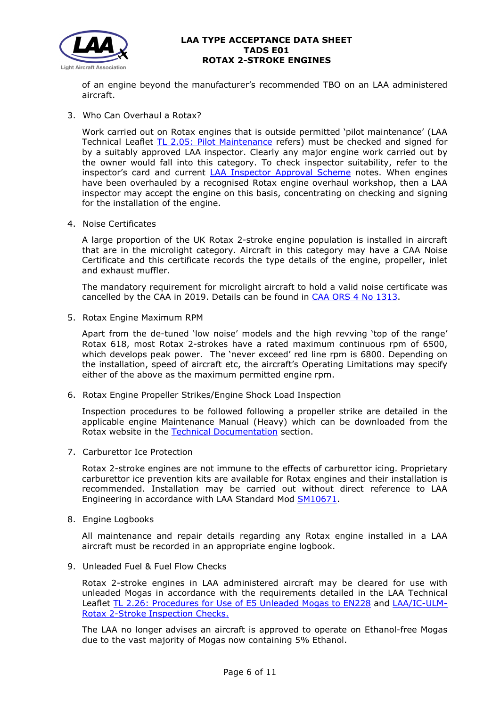

of an engine beyond the manufacturer's recommended TBO on an LAA administered aircraft.

3. Who Can Overhaul a Rotax?

Work carried out on Rotax engines that is outside permitted 'pilot maintenance' (LAA Technical Leaflet [TL 2.05: Pilot Maintenance](http://www.lightaircraftassociation.co.uk/engineering/TechnicalLeaflets/Operating%20An%20Aircraft/TL%202.05%20Pilot%20Maintenance.pdf) refers) must be checked and signed for by a suitably approved LAA inspector. Clearly any major engine work carried out by the owner would fall into this category. To check inspector suitability, refer to the inspector's card and current [LAA Inspector Approval Scheme](http://www.lightaircraftassociation.co.uk/inspectors/Zone/approval/LAA%20INSPECTOR%20APPROVAL%20SCHEME.PDF) notes. When engines have been overhauled by a recognised Rotax engine overhaul workshop, then a LAA inspector may accept the engine on this basis, concentrating on checking and signing for the installation of the engine.

4. Noise Certificates

A large proportion of the UK Rotax 2-stroke engine population is installed in aircraft that are in the microlight category. Aircraft in this category may have a CAA Noise Certificate and this certificate records the type details of the engine, propeller, inlet and exhaust muffler.

The mandatory requirement for microlight aircraft to hold a valid noise certificate was cancelled by the CAA in 2019. Details can be found in [CAA ORS 4 No 1313.](https://publicapps.caa.co.uk/docs/33/1313.pdf)

5. Rotax Engine Maximum RPM

Apart from the de-tuned 'low noise' models and the high revving 'top of the range' Rotax 618, most Rotax 2-strokes have a rated maximum continuous rpm of 6500, which develops peak power. The 'never exceed' red line rpm is 6800. Depending on the installation, speed of aircraft etc, the aircraft's Operating Limitations may specify either of the above as the maximum permitted engine rpm.

6. Rotax Engine Propeller Strikes/Engine Shock Load Inspection

Inspection procedures to be followed following a propeller strike are detailed in the applicable engine Maintenance Manual (Heavy) which can be downloaded from the Rotax website in the [Technical Documentation](https://www.flyrotax.com/services/technical-documentation.html) section.

7. Carburettor Ice Protection

Rotax 2-stroke engines are not immune to the effects of carburettor icing. Proprietary carburettor ice prevention kits are available for Rotax engines and their installation is recommended. Installation may be carried out without direct reference to LAA Engineering in accordance with LAA Standard Mod [SM10671.](http://www.lightaircraftassociation.co.uk/pdf/Engineering/Standard%20Mods/SM10671%20-%20Cyclone%202%20Stroke%20Carb%20Heater.pdf)

8. Engine Logbooks

All maintenance and repair details regarding any Rotax engine installed in a LAA aircraft must be recorded in an appropriate engine logbook.

9. Unleaded Fuel & Fuel Flow Checks

Rotax 2-stroke engines in LAA administered aircraft may be cleared for use with unleaded Mogas in accordance with the requirements detailed in the LAA Technical Leaflet [TL 2.26: Procedures for Use of E5 Unleaded Mogas to EN228](http://www.lightaircraftassociation.co.uk/engineering/TechnicalLeaflets/Operating%20An%20Aircraft/TL%202.26%20Procedure%20for%20using%20E5%20Unleaded%20Mogas.pdf) and [LAA/IC-ULM-](http://www.lightaircraftassociation.co.uk/engineering/Mogas/Inspection%20Checklist%20-%20Rotax%202%20Strokes%20E5.pdf)[Rotax 2-Stroke Inspection Checks.](http://www.lightaircraftassociation.co.uk/engineering/Mogas/Inspection%20Checklist%20-%20Rotax%202%20Strokes%20E5.pdf)

The LAA no longer advises an aircraft is approved to operate on Ethanol-free Mogas due to the vast majority of Mogas now containing 5% Ethanol.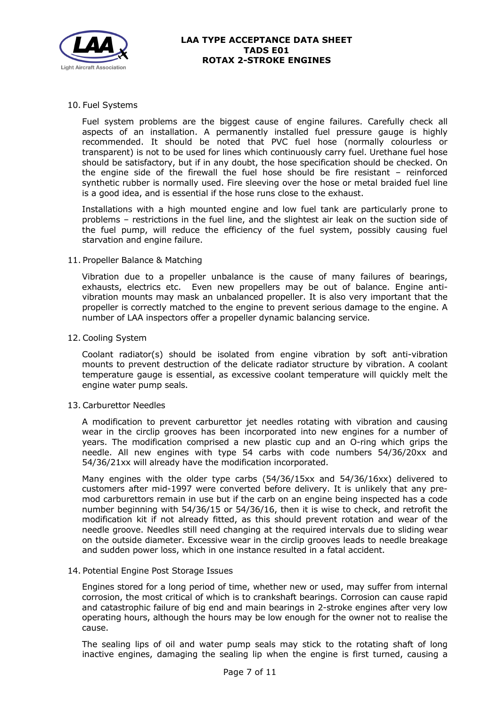

## 10. Fuel Systems

Fuel system problems are the biggest cause of engine failures. Carefully check all aspects of an installation. A permanently installed fuel pressure gauge is highly recommended. It should be noted that PVC fuel hose (normally colourless or transparent) is not to be used for lines which continuously carry fuel. Urethane fuel hose should be satisfactory, but if in any doubt, the hose specification should be checked. On the engine side of the firewall the fuel hose should be fire resistant – reinforced synthetic rubber is normally used. Fire sleeving over the hose or metal braided fuel line is a good idea, and is essential if the hose runs close to the exhaust.

Installations with a high mounted engine and low fuel tank are particularly prone to problems – restrictions in the fuel line, and the slightest air leak on the suction side of the fuel pump, will reduce the efficiency of the fuel system, possibly causing fuel starvation and engine failure.

## 11. Propeller Balance & Matching

Vibration due to a propeller unbalance is the cause of many failures of bearings, exhausts, electrics etc. Even new propellers may be out of balance. Engine antivibration mounts may mask an unbalanced propeller. It is also very important that the propeller is correctly matched to the engine to prevent serious damage to the engine. A number of LAA inspectors offer a propeller dynamic balancing service.

## 12. Cooling System

Coolant radiator(s) should be isolated from engine vibration by soft anti-vibration mounts to prevent destruction of the delicate radiator structure by vibration. A coolant temperature gauge is essential, as excessive coolant temperature will quickly melt the engine water pump seals.

## 13. Carburettor Needles

A modification to prevent carburettor jet needles rotating with vibration and causing wear in the circlip grooves has been incorporated into new engines for a number of years. The modification comprised a new plastic cup and an O-ring which grips the needle. All new engines with type 54 carbs with code numbers 54/36/20xx and 54/36/21xx will already have the modification incorporated.

Many engines with the older type carbs (54/36/15xx and 54/36/16xx) delivered to customers after mid-1997 were converted before delivery. It is unlikely that any premod carburettors remain in use but if the carb on an engine being inspected has a code number beginning with 54/36/15 or 54/36/16, then it is wise to check, and retrofit the modification kit if not already fitted, as this should prevent rotation and wear of the needle groove. Needles still need changing at the required intervals due to sliding wear on the outside diameter. Excessive wear in the circlip grooves leads to needle breakage and sudden power loss, which in one instance resulted in a fatal accident.

## 14. Potential Engine Post Storage Issues

Engines stored for a long period of time, whether new or used, may suffer from internal corrosion, the most critical of which is to crankshaft bearings. Corrosion can cause rapid and catastrophic failure of big end and main bearings in 2-stroke engines after very low operating hours, although the hours may be low enough for the owner not to realise the cause.

The sealing lips of oil and water pump seals may stick to the rotating shaft of long inactive engines, damaging the sealing lip when the engine is first turned, causing a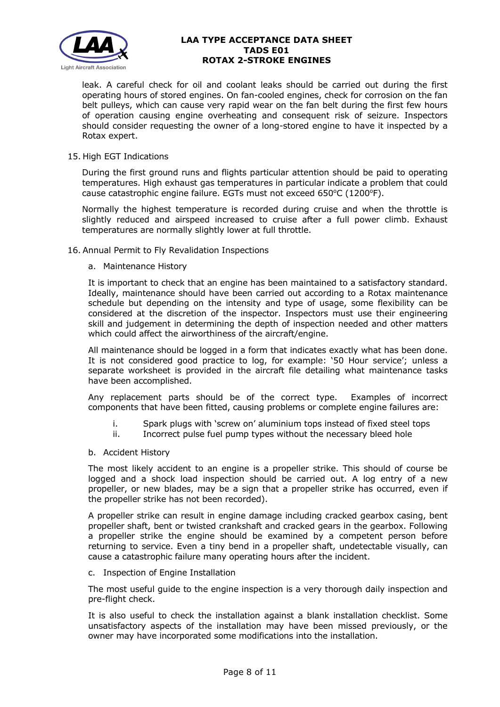

leak. A careful check for oil and coolant leaks should be carried out during the first operating hours of stored engines. On fan-cooled engines, check for corrosion on the fan belt pulleys, which can cause very rapid wear on the fan belt during the first few hours of operation causing engine overheating and consequent risk of seizure. Inspectors should consider requesting the owner of a long-stored engine to have it inspected by a Rotax expert.

## 15. High EGT Indications

During the first ground runs and flights particular attention should be paid to operating temperatures. High exhaust gas temperatures in particular indicate a problem that could cause catastrophic engine failure. EGTs must not exceed 650°C (1200°F).

Normally the highest temperature is recorded during cruise and when the throttle is slightly reduced and airspeed increased to cruise after a full power climb. Exhaust temperatures are normally slightly lower at full throttle.

16. Annual Permit to Fly Revalidation Inspections

#### a. Maintenance History

It is important to check that an engine has been maintained to a satisfactory standard. Ideally, maintenance should have been carried out according to a Rotax maintenance schedule but depending on the intensity and type of usage, some flexibility can be considered at the discretion of the inspector. Inspectors must use their engineering skill and judgement in determining the depth of inspection needed and other matters which could affect the airworthiness of the aircraft/engine.

All maintenance should be logged in a form that indicates exactly what has been done. It is not considered good practice to log, for example: '50 Hour service'; unless a separate worksheet is provided in the aircraft file detailing what maintenance tasks have been accomplished.

Any replacement parts should be of the correct type. Examples of incorrect components that have been fitted, causing problems or complete engine failures are:

- i. Spark plugs with 'screw on' aluminium tops instead of fixed steel tops
- ii. Incorrect pulse fuel pump types without the necessary bleed hole
- b. Accident History

The most likely accident to an engine is a propeller strike. This should of course be logged and a shock load inspection should be carried out. A log entry of a new propeller, or new blades, may be a sign that a propeller strike has occurred, even if the propeller strike has not been recorded).

A propeller strike can result in engine damage including cracked gearbox casing, bent propeller shaft, bent or twisted crankshaft and cracked gears in the gearbox. Following a propeller strike the engine should be examined by a competent person before returning to service. Even a tiny bend in a propeller shaft, undetectable visually, can cause a catastrophic failure many operating hours after the incident.

c. Inspection of Engine Installation

The most useful guide to the engine inspection is a very thorough daily inspection and pre-flight check.

It is also useful to check the installation against a blank installation checklist. Some unsatisfactory aspects of the installation may have been missed previously, or the owner may have incorporated some modifications into the installation.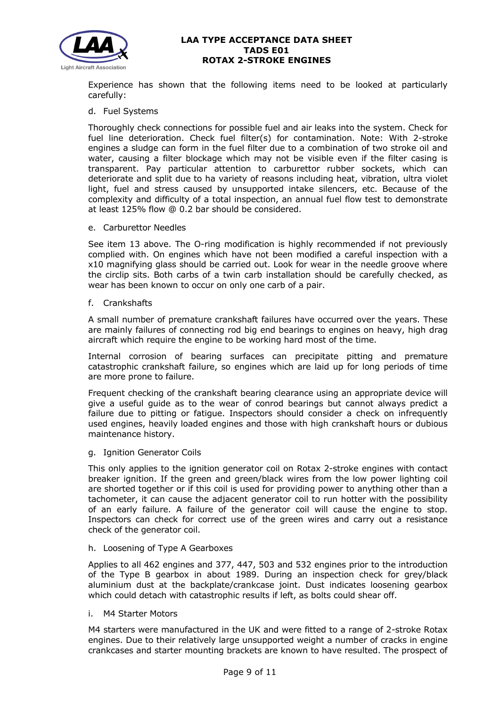

Experience has shown that the following items need to be looked at particularly carefully:

## d. Fuel Systems

Thoroughly check connections for possible fuel and air leaks into the system. Check for fuel line deterioration. Check fuel filter(s) for contamination. Note: With 2-stroke engines a sludge can form in the fuel filter due to a combination of two stroke oil and water, causing a filter blockage which may not be visible even if the filter casing is transparent. Pay particular attention to carburettor rubber sockets, which can deteriorate and split due to ha variety of reasons including heat, vibration, ultra violet light, fuel and stress caused by unsupported intake silencers, etc. Because of the complexity and difficulty of a total inspection, an annual fuel flow test to demonstrate at least 125% flow @ 0.2 bar should be considered.

#### e. Carburettor Needles

See item 13 above. The O-ring modification is highly recommended if not previously complied with. On engines which have not been modified a careful inspection with a x10 magnifying glass should be carried out. Look for wear in the needle groove where the circlip sits. Both carbs of a twin carb installation should be carefully checked, as wear has been known to occur on only one carb of a pair.

### f. Crankshafts

A small number of premature crankshaft failures have occurred over the years. These are mainly failures of connecting rod big end bearings to engines on heavy, high drag aircraft which require the engine to be working hard most of the time.

Internal corrosion of bearing surfaces can precipitate pitting and premature catastrophic crankshaft failure, so engines which are laid up for long periods of time are more prone to failure.

Frequent checking of the crankshaft bearing clearance using an appropriate device will give a useful guide as to the wear of conrod bearings but cannot always predict a failure due to pitting or fatigue. Inspectors should consider a check on infrequently used engines, heavily loaded engines and those with high crankshaft hours or dubious maintenance history.

## g. Ignition Generator Coils

This only applies to the ignition generator coil on Rotax 2-stroke engines with contact breaker ignition. If the green and green/black wires from the low power lighting coil are shorted together or if this coil is used for providing power to anything other than a tachometer, it can cause the adjacent generator coil to run hotter with the possibility of an early failure. A failure of the generator coil will cause the engine to stop. Inspectors can check for correct use of the green wires and carry out a resistance check of the generator coil.

## h. Loosening of Type A Gearboxes

Applies to all 462 engines and 377, 447, 503 and 532 engines prior to the introduction of the Type B gearbox in about 1989. During an inspection check for grey/black aluminium dust at the backplate/crankcase joint. Dust indicates loosening gearbox which could detach with catastrophic results if left, as bolts could shear off.

#### i. M4 Starter Motors

M4 starters were manufactured in the UK and were fitted to a range of 2-stroke Rotax engines. Due to their relatively large unsupported weight a number of cracks in engine crankcases and starter mounting brackets are known to have resulted. The prospect of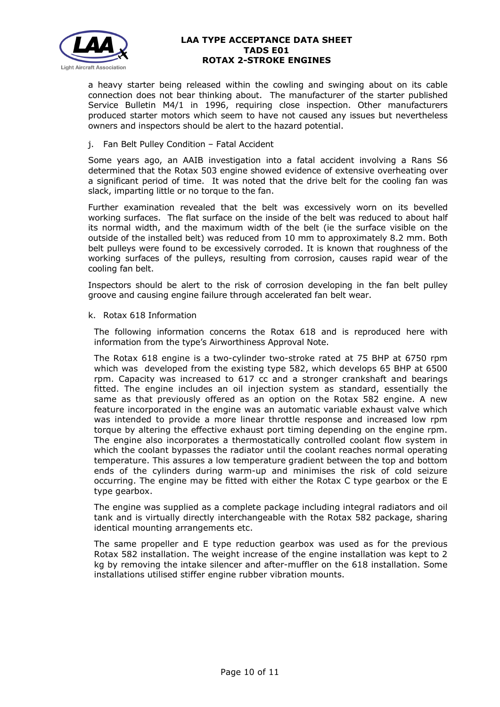

a heavy starter being released within the cowling and swinging about on its cable connection does not bear thinking about. The manufacturer of the starter published Service Bulletin M4/1 in 1996, requiring close inspection. Other manufacturers produced starter motors which seem to have not caused any issues but nevertheless owners and inspectors should be alert to the hazard potential.

j. Fan Belt Pulley Condition – Fatal Accident

Some years ago, an AAIB investigation into a fatal accident involving a Rans S6 determined that the Rotax 503 engine showed evidence of extensive overheating over a significant period of time. It was noted that the drive belt for the cooling fan was slack, imparting little or no torque to the fan.

Further examination revealed that the belt was excessively worn on its bevelled working surfaces. The flat surface on the inside of the belt was reduced to about half its normal width, and the maximum width of the belt (ie the surface visible on the outside of the installed belt) was reduced from 10 mm to approximately 8.2 mm. Both belt pulleys were found to be excessively corroded. It is known that roughness of the working surfaces of the pulleys, resulting from corrosion, causes rapid wear of the cooling fan belt.

Inspectors should be alert to the risk of corrosion developing in the fan belt pulley groove and causing engine failure through accelerated fan belt wear.

### k. Rotax 618 Information

The following information concerns the Rotax 618 and is reproduced here with information from the type's Airworthiness Approval Note.

The Rotax 618 engine is a two-cylinder two-stroke rated at 75 BHP at 6750 rpm which was developed from the existing type 582, which develops 65 BHP at 6500 rpm. Capacity was increased to 617 cc and a stronger crankshaft and bearings fitted. The engine includes an oil injection system as standard, essentially the same as that previously offered as an option on the Rotax 582 engine. A new feature incorporated in the engine was an automatic variable exhaust valve which was intended to provide a more linear throttle response and increased low rpm torque by altering the effective exhaust port timing depending on the engine rpm. The engine also incorporates a thermostatically controlled coolant flow system in which the coolant bypasses the radiator until the coolant reaches normal operating temperature. This assures a low temperature gradient between the top and bottom ends of the cylinders during warm-up and minimises the risk of cold seizure occurring. The engine may be fitted with either the Rotax C type gearbox or the E type gearbox.

The engine was supplied as a complete package including integral radiators and oil tank and is virtually directly interchangeable with the Rotax 582 package, sharing identical mounting arrangements etc.

The same propeller and E type reduction gearbox was used as for the previous Rotax 582 installation. The weight increase of the engine installation was kept to 2 kg by removing the intake silencer and after-muffler on the 618 installation. Some installations utilised stiffer engine rubber vibration mounts.